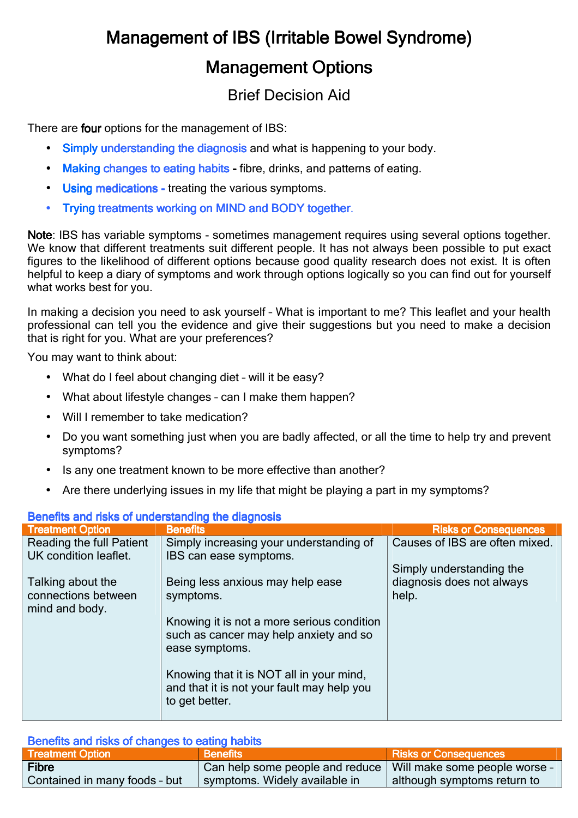# Management of IBS (Irritable Bowel Syndrome) **Management Options**

## Brief Decision Aid

There are **four** options for the management of IBS:

- Simply understanding the diagnosis and what is happening to your body.
- Making changes to eating habits fibre, drinks, and patterns of eating.
- Using medications treating the various symptoms.
- Trying treatments working on MIND and BODY together.

Note: IBS has variable symptoms - sometimes management requires using several options together. We know that different treatments suit different people. It has not always been possible to put exact figures to the likelihood of different options because good quality research does not exist. It is often helpful to keep a diary of symptoms and work through options logically so you can find out for yourself what works best for you.

In making a decision you need to ask yourself – What is important to me? This leaflet and your health professional can tell you the evidence and give their suggestions but you need to make a decision that is right for you. What are your preferences?

You may want to think about:

- What do I feel about changing diet will it be easy?
- What about lifestyle changes can I make them happen?
- Will I remember to take medication?
- Do you want something just when you are badly affected, or all the time to help try and prevent symptoms?
- Is any one treatment known to be more effective than another?
- Are there underlying issues in my life that might be playing a part in my symptoms?

| <b>Defielits and risks of understanding the diagnosis</b> |                                                                                                          |                                    |  |
|-----------------------------------------------------------|----------------------------------------------------------------------------------------------------------|------------------------------------|--|
| <b>Treatment Option</b>                                   | <b>Benefits</b>                                                                                          | <b>Risks or Consequences</b>       |  |
| Reading the full Patient                                  | Simply increasing your understanding of                                                                  | Causes of IBS are often mixed.     |  |
| UK condition leaflet.                                     | IBS can ease symptoms.                                                                                   |                                    |  |
|                                                           |                                                                                                          | Simply understanding the           |  |
| Talking about the<br>connections between                  | Being less anxious may help ease<br>symptoms.                                                            | diagnosis does not always<br>help. |  |
| mind and body.                                            |                                                                                                          |                                    |  |
|                                                           | Knowing it is not a more serious condition<br>such as cancer may help anxiety and so<br>ease symptoms.   |                                    |  |
|                                                           | Knowing that it is NOT all in your mind,<br>and that it is not your fault may help you<br>to get better. |                                    |  |

### Benefits and risks of understanding the diagnosis

| Benefits and risks of changes to eating habits |                                                                 |                              |  |
|------------------------------------------------|-----------------------------------------------------------------|------------------------------|--|
| <b>Treatment Option</b>                        | <b>Benefits</b>                                                 | <b>Risks or Consequences</b> |  |
| <b>Fibre</b>                                   | Can help some people and reduce   Will make some people worse - |                              |  |
| Contained in many foods - but                  | symptoms. Widely available in                                   | although symptoms return to  |  |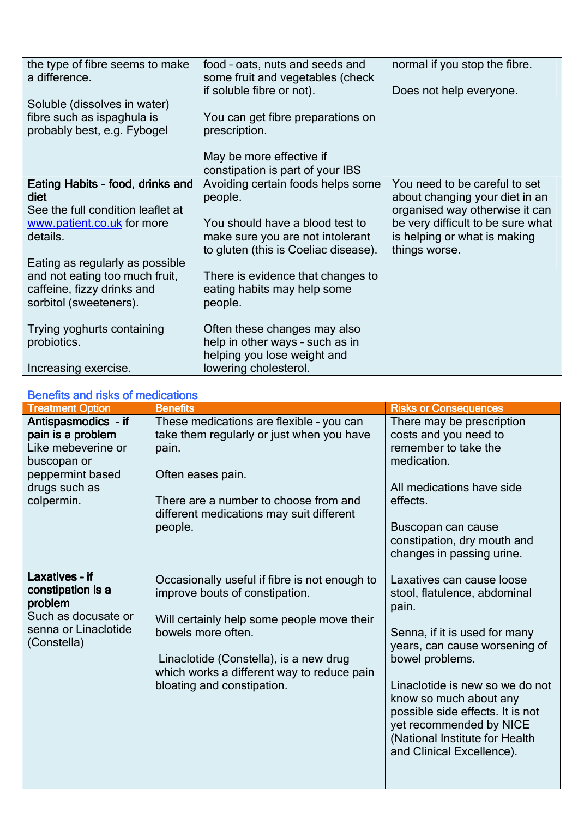| the type of fibre seems to make<br>a difference. | food - oats, nuts and seeds and<br>some fruit and vegetables (check | normal if you stop the fibre.     |
|--------------------------------------------------|---------------------------------------------------------------------|-----------------------------------|
|                                                  | if soluble fibre or not).                                           | Does not help everyone.           |
| Soluble (dissolves in water)                     |                                                                     |                                   |
| fibre such as ispaghula is                       | You can get fibre preparations on                                   |                                   |
| probably best, e.g. Fybogel                      | prescription.                                                       |                                   |
|                                                  |                                                                     |                                   |
|                                                  | May be more effective if                                            |                                   |
|                                                  | constipation is part of your IBS                                    |                                   |
| Eating Habits - food, drinks and                 | Avoiding certain foods helps some                                   | You need to be careful to set     |
| diet                                             | people.                                                             | about changing your diet in an    |
| See the full condition leaflet at                |                                                                     | organised way otherwise it can    |
| www.patient.co.uk for more                       | You should have a blood test to                                     | be very difficult to be sure what |
| details.                                         | make sure you are not intolerant                                    | is helping or what is making      |
|                                                  | to gluten (this is Coeliac disease).                                | things worse.                     |
| Eating as regularly as possible                  |                                                                     |                                   |
| and not eating too much fruit,                   | There is evidence that changes to                                   |                                   |
| caffeine, fizzy drinks and                       | eating habits may help some                                         |                                   |
| sorbitol (sweeteners).                           | people.                                                             |                                   |
|                                                  |                                                                     |                                   |
| Trying yoghurts containing                       | Often these changes may also                                        |                                   |
| probiotics.                                      | help in other ways - such as in                                     |                                   |
|                                                  | helping you lose weight and                                         |                                   |
| Increasing exercise.                             | lowering cholesterol.                                               |                                   |

#### Benefits and risks of medications

| <b>Benefits and risks of medications</b>                                                                                         |                                                                                                                                                                                                                                                                           |                                                                                                                                                                                                                                                                                                                                                    |
|----------------------------------------------------------------------------------------------------------------------------------|---------------------------------------------------------------------------------------------------------------------------------------------------------------------------------------------------------------------------------------------------------------------------|----------------------------------------------------------------------------------------------------------------------------------------------------------------------------------------------------------------------------------------------------------------------------------------------------------------------------------------------------|
| <b>Treatment Option</b>                                                                                                          | <b>Benefits</b>                                                                                                                                                                                                                                                           | <b>Risks or Consequences</b>                                                                                                                                                                                                                                                                                                                       |
| Antispasmodics - if<br>pain is a problem<br>Like mebeverine or<br>buscopan or<br>peppermint based<br>drugs such as<br>colpermin. | These medications are flexible - you can<br>take them regularly or just when you have<br>pain.<br>Often eases pain.<br>There are a number to choose from and<br>different medications may suit different<br>people.                                                       | There may be prescription<br>costs and you need to<br>remember to take the<br>medication.<br>All medications have side<br>effects.<br>Buscopan can cause<br>constipation, dry mouth and<br>changes in passing urine.                                                                                                                               |
| Laxatives - if<br>constipation is a<br>problem<br>Such as docusate or<br>senna or Linaclotide<br>(Constella)                     | Occasionally useful if fibre is not enough to<br>improve bouts of constipation.<br>Will certainly help some people move their<br>bowels more often.<br>Linaclotide (Constella), is a new drug<br>which works a different way to reduce pain<br>bloating and constipation. | Laxatives can cause loose<br>stool, flatulence, abdominal<br>pain.<br>Senna, if it is used for many<br>years, can cause worsening of<br>bowel problems.<br>Linaclotide is new so we do not<br>know so much about any<br>possible side effects. It is not<br>yet recommended by NICE<br>(National Institute for Health<br>and Clinical Excellence). |